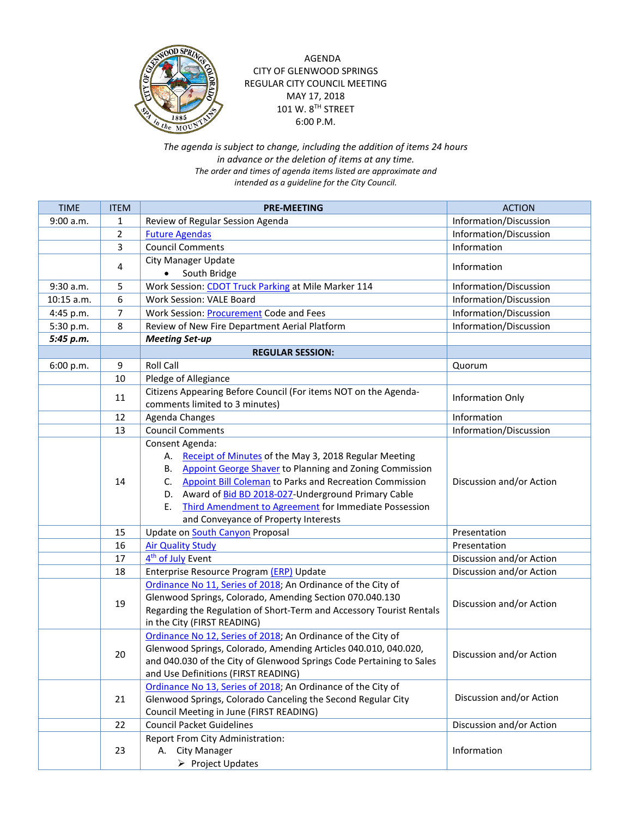

AGENDA CITY OF GLENWOOD SPRINGS REGULAR CITY COUNCIL MEETING MAY 17, 2018 101 W. 8TH STREET 6:00 P.M.

*The agenda is subject to change, including the addition of items 24 hours in advance or the deletion of items at any time. The order and times of agenda items listed are approximate and intended as a guideline for the City Council.*

| <b>TIME</b> | <b>ITEM</b>      | <b>PRE-MEETING</b>                                                                                                                                                                                                                                                                                                                                                                          | <b>ACTION</b>            |
|-------------|------------------|---------------------------------------------------------------------------------------------------------------------------------------------------------------------------------------------------------------------------------------------------------------------------------------------------------------------------------------------------------------------------------------------|--------------------------|
| 9:00 a.m.   | 1                | Review of Regular Session Agenda                                                                                                                                                                                                                                                                                                                                                            | Information/Discussion   |
|             | $\overline{2}$   | <b>Future Agendas</b>                                                                                                                                                                                                                                                                                                                                                                       | Information/Discussion   |
|             | 3                | <b>Council Comments</b>                                                                                                                                                                                                                                                                                                                                                                     | Information              |
|             |                  | <b>City Manager Update</b>                                                                                                                                                                                                                                                                                                                                                                  |                          |
|             | 4                | South Bridge<br>$\bullet$                                                                                                                                                                                                                                                                                                                                                                   | Information              |
| 9:30 a.m.   | 5                | Work Session: CDOT Truck Parking at Mile Marker 114                                                                                                                                                                                                                                                                                                                                         | Information/Discussion   |
| 10:15 a.m.  | 6                | Work Session: VALE Board                                                                                                                                                                                                                                                                                                                                                                    | Information/Discussion   |
| 4:45 p.m.   | 7                | Work Session: <b>Procurement</b> Code and Fees                                                                                                                                                                                                                                                                                                                                              | Information/Discussion   |
| 5:30 p.m.   | 8                | Review of New Fire Department Aerial Platform                                                                                                                                                                                                                                                                                                                                               | Information/Discussion   |
| 5:45 p.m.   |                  | <b>Meeting Set-up</b>                                                                                                                                                                                                                                                                                                                                                                       |                          |
|             |                  | <b>REGULAR SESSION:</b>                                                                                                                                                                                                                                                                                                                                                                     |                          |
| 6:00 p.m.   | $\boldsymbol{9}$ | Roll Call                                                                                                                                                                                                                                                                                                                                                                                   | Quorum                   |
|             | 10               | Pledge of Allegiance                                                                                                                                                                                                                                                                                                                                                                        |                          |
|             | 11               | Citizens Appearing Before Council (For items NOT on the Agenda-<br>comments limited to 3 minutes)                                                                                                                                                                                                                                                                                           | <b>Information Only</b>  |
|             | 12               | Agenda Changes                                                                                                                                                                                                                                                                                                                                                                              | Information              |
|             | 13               | <b>Council Comments</b>                                                                                                                                                                                                                                                                                                                                                                     | Information/Discussion   |
|             | 14               | Consent Agenda:<br>A. Receipt of Minutes of the May 3, 2018 Regular Meeting<br><b>Appoint George Shaver to Planning and Zoning Commission</b><br>В.<br>Appoint Bill Coleman to Parks and Recreation Commission<br>C.<br>D. Award of Bid BD 2018-027-Underground Primary Cable<br><b>Third Amendment to Agreement for Immediate Possession</b><br>Е.<br>and Conveyance of Property Interests | Discussion and/or Action |
|             | 15               | Update on <b>South Canyon</b> Proposal                                                                                                                                                                                                                                                                                                                                                      | Presentation             |
|             | 16               | <b>Air Quality Study</b>                                                                                                                                                                                                                                                                                                                                                                    | Presentation             |
|             | 17               | 4 <sup>th</sup> of July Event                                                                                                                                                                                                                                                                                                                                                               | Discussion and/or Action |
|             | 18               | Enterprise Resource Program (ERP) Update                                                                                                                                                                                                                                                                                                                                                    | Discussion and/or Action |
|             | 19               | Ordinance No 11, Series of 2018; An Ordinance of the City of<br>Glenwood Springs, Colorado, Amending Section 070.040.130<br>Regarding the Regulation of Short-Term and Accessory Tourist Rentals<br>in the City (FIRST READING)                                                                                                                                                             | Discussion and/or Action |
|             | 20               | Ordinance No 12, Series of 2018; An Ordinance of the City of<br>Glenwood Springs, Colorado, Amending Articles 040.010, 040.020,<br>and 040.030 of the City of Glenwood Springs Code Pertaining to Sales<br>and Use Definitions (FIRST READING)                                                                                                                                              | Discussion and/or Action |
|             | 21               | Ordinance No 13, Series of 2018; An Ordinance of the City of<br>Glenwood Springs, Colorado Canceling the Second Regular City<br>Council Meeting in June (FIRST READING)                                                                                                                                                                                                                     | Discussion and/or Action |
|             | 22               | <b>Council Packet Guidelines</b>                                                                                                                                                                                                                                                                                                                                                            | Discussion and/or Action |
|             | 23               | Report From City Administration:<br>A. City Manager<br>$\triangleright$ Project Updates                                                                                                                                                                                                                                                                                                     | Information              |